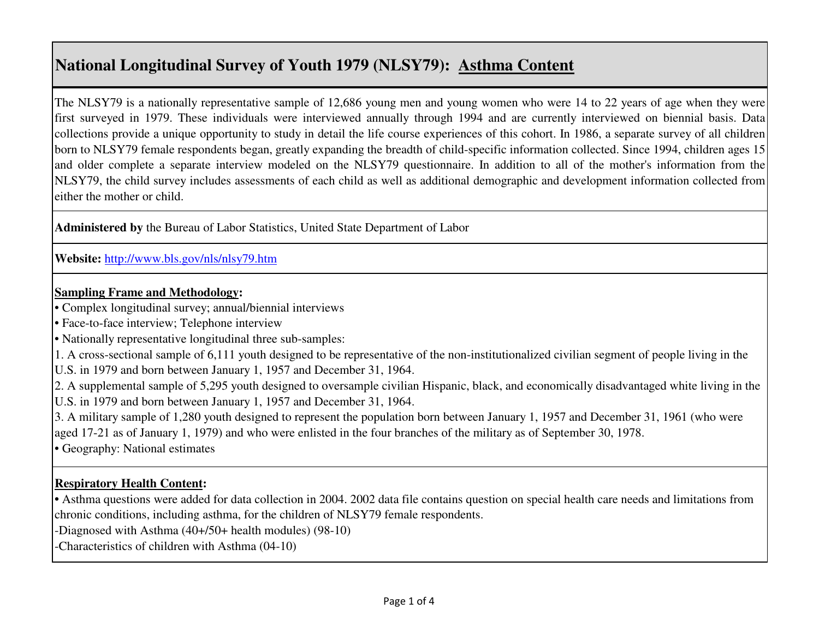## **National Longitudinal Survey of Youth 1979 (NLSY79): Asthma Content**

The NLSY79 is a nationally representative sample of 12,686 young men and young women who were 14 to 22 years of age when they were first surveyed in 1979. These individuals were interviewed annually through 1994 and are currently interviewed on biennial basis. Data collections provide a unique opportunity to study in detail the life course experiences of this cohort. In 1986, a separate survey of all children born to NLSY79 female respondents began, greatly expanding the breadth of child-specific information collected. Since 1994, children ages 15 and older complete a separate interview modeled on the NLSY79 questionnaire. In addition to all of the mother's information from the NLSY79, the child survey includes assessments of each child as well as additional demographic and development information collected from either the mother or child.

**Administered by** the Bureau of Labor Statistics, United State Department of Labor

**Website:** http://www.bls.gov/nls/nlsy79.htm

#### **Sampling Frame and Methodology:**

- Complex longitudinal survey; annual/biennial interviews
- Face-to-face interview; Telephone interview
- Nationally representative longitudinal three sub-samples:
- 1. A cross-sectional sample of 6,111 youth designed to be representative of the non-institutionalized civilian segment of people living in the
- U.S. in 1979 and born between January 1, 1957 and December 31, 1964.

2. A supplemental sample of 5,295 youth designed to oversample civilian Hispanic, black, and economically disadvantaged white living in the U.S. in 1979 and born between January 1, 1957 and December 31, 1964.

3. A military sample of 1,280 youth designed to represent the population born between January 1, 1957 and December 31, 1961 (who were aged 17-21 as of January 1, 1979) and who were enlisted in the four branches of the military as of September 30, 1978.

• Geography: National estimates

## **Respiratory Health Content:**

**•** Asthma questions were added for data collection in 2004. 2002 data file contains question on special health care needs and limitations from chronic conditions, including asthma, for the children of NLSY79 female respondents.

-Diagnosed with Asthma (40+/50+ health modules) (98-10)

-Characteristics of children with Asthma (04-10)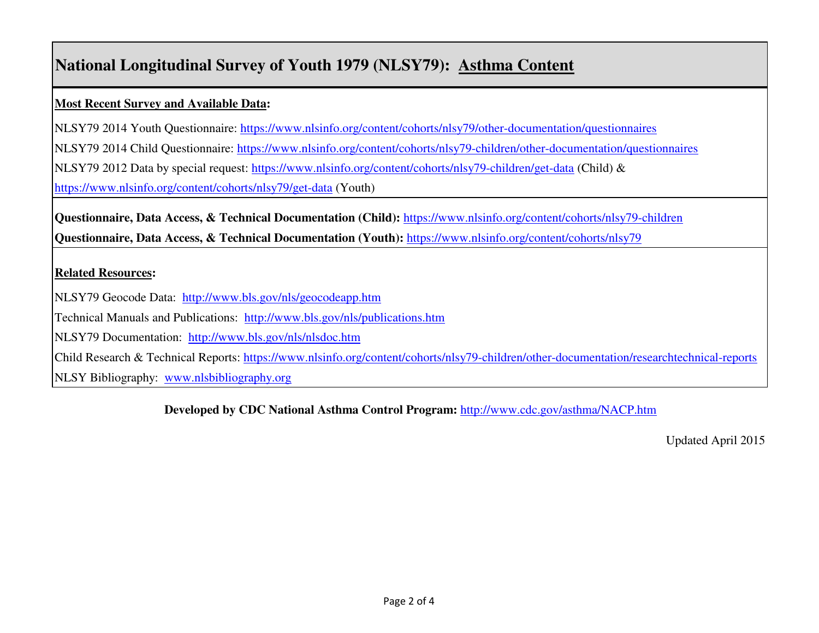# **National Longitudinal Survey of Youth 1979 (NLSY79): Asthma Content**

### **Most Recent Survey and Available Data:**

NLSY79 2014 Youth Questionnaire: https://www.nlsinfo.org/content/cohorts/nlsy79/other-documentation/questionnaires

NLSY79 2014 Child Questionnaire: https://www.nlsinfo.org/content/cohorts/nlsy79-children/other-documentation/questionnaires

NLSY79 2012 Data by special request: https://www.nlsinfo.org/content/cohorts/nlsy79-children/get-data (Child) &

https://www.nlsinfo.org/content/cohorts/nlsy79/get-data (Youth)

**Questionnaire, Data Access, & Technical Documentation (Child):** https://www.nlsinfo.org/content/cohorts/nlsy79-children **Questionnaire, Data Access, & Technical Documentation (Youth):** https://www.nlsinfo.org/content/cohorts/nlsy79

### **Related Resources:**

NLSY79 Geocode Data: http://www.bls.gov/nls/geocodeapp.htm

Technical Manuals and Publications: http://www.bls.gov/nls/publications.htm

NLSY79 Documentation: http://www.bls.gov/nls/nlsdoc.htm

Child Research & Technical Reports: https://www.nlsinfo.org/content/cohorts/nlsy79-children/other-documentation/researchtechnical-reports

NLSY Bibliography: www.nlsbibliography.org

**Developed by CDC National Asthma Control Program:** http://www.cdc.gov/asthma/NACP.htm

Updated April 2015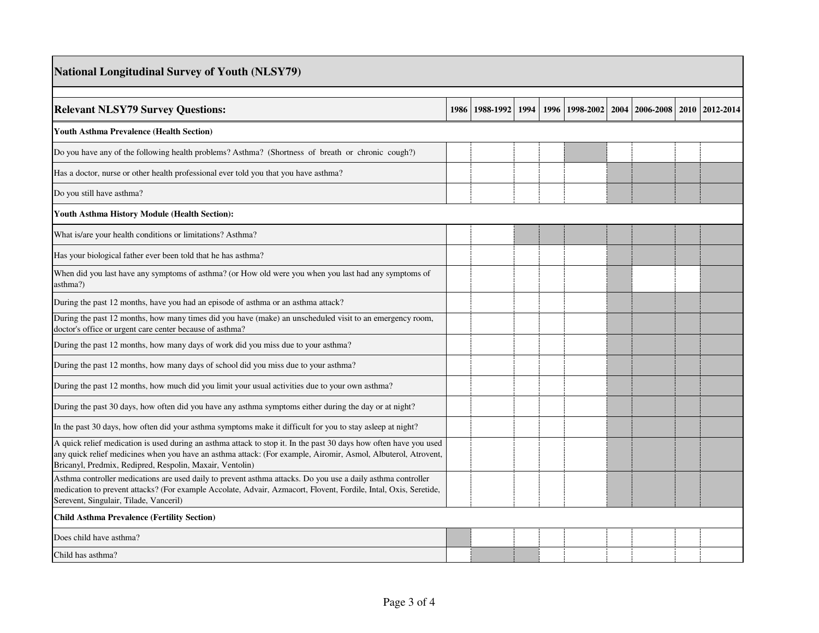| <b>National Longitudinal Survey of Youth (NLSY79)</b>                                                                                                                                                                                                                                          |      |           |      |  |                |  |                  |      |           |  |
|------------------------------------------------------------------------------------------------------------------------------------------------------------------------------------------------------------------------------------------------------------------------------------------------|------|-----------|------|--|----------------|--|------------------|------|-----------|--|
| <b>Relevant NLSY79 Survey Questions:</b>                                                                                                                                                                                                                                                       | 1986 | 1988-1992 | 1994 |  | 1996 1998-2002 |  | 2004   2006-2008 | 2010 | 2012-2014 |  |
| <b>Youth Asthma Prevalence (Health Section)</b>                                                                                                                                                                                                                                                |      |           |      |  |                |  |                  |      |           |  |
| Do you have any of the following health problems? Asthma? (Shortness of breath or chronic cough?)                                                                                                                                                                                              |      |           |      |  |                |  |                  |      |           |  |
| Has a doctor, nurse or other health professional ever told you that you have asthma?                                                                                                                                                                                                           |      |           |      |  |                |  |                  |      |           |  |
| Do you still have asthma?                                                                                                                                                                                                                                                                      |      |           |      |  |                |  |                  |      |           |  |
| Youth Asthma History Module (Health Section):                                                                                                                                                                                                                                                  |      |           |      |  |                |  |                  |      |           |  |
| What is/are your health conditions or limitations? Asthma?                                                                                                                                                                                                                                     |      |           |      |  |                |  |                  |      |           |  |
| Has your biological father ever been told that he has asthma?                                                                                                                                                                                                                                  |      |           |      |  |                |  |                  |      |           |  |
| When did you last have any symptoms of asthma? (or How old were you when you last had any symptoms of<br>asthma?)                                                                                                                                                                              |      |           |      |  |                |  |                  |      |           |  |
| During the past 12 months, have you had an episode of asthma or an asthma attack?                                                                                                                                                                                                              |      |           |      |  |                |  |                  |      |           |  |
| During the past 12 months, how many times did you have (make) an unscheduled visit to an emergency room,<br>doctor's office or urgent care center because of asthma?                                                                                                                           |      |           |      |  |                |  |                  |      |           |  |
| During the past 12 months, how many days of work did you miss due to your asthma?                                                                                                                                                                                                              |      |           |      |  |                |  |                  |      |           |  |
| During the past 12 months, how many days of school did you miss due to your asthma?                                                                                                                                                                                                            |      |           |      |  |                |  |                  |      |           |  |
| During the past 12 months, how much did you limit your usual activities due to your own asthma?                                                                                                                                                                                                |      |           |      |  |                |  |                  |      |           |  |
| During the past 30 days, how often did you have any asthma symptoms either during the day or at night?                                                                                                                                                                                         |      |           |      |  |                |  |                  |      |           |  |
| In the past 30 days, how often did your asthma symptoms make it difficult for you to stay as leep at night?                                                                                                                                                                                    |      |           |      |  |                |  |                  |      |           |  |
| A quick relief medication is used during an asthma attack to stop it. In the past 30 days how often have you used<br>any quick relief medicines when you have an asthma attack: (For example, Airomir, Asmol, Albuterol, Atrovent,<br>Bricanyl, Predmix, Redipred, Respolin, Maxair, Ventolin) |      |           |      |  |                |  |                  |      |           |  |
| Asthma controller medications are used daily to prevent asthma attacks. Do you use a daily asthma controller<br>medication to prevent attacks? (For example Accolate, Advair, Azmacort, Flovent, Fordile, Intal, Oxis, Seretide,<br>Serevent, Singulair, Tilade, Vanceril)                     |      |           |      |  |                |  |                  |      |           |  |
| <b>Child Asthma Prevalence (Fertility Section)</b>                                                                                                                                                                                                                                             |      |           |      |  |                |  |                  |      |           |  |
| Does child have asthma?                                                                                                                                                                                                                                                                        |      |           |      |  |                |  |                  |      |           |  |
| Child has asthma?                                                                                                                                                                                                                                                                              |      |           |      |  |                |  |                  |      |           |  |